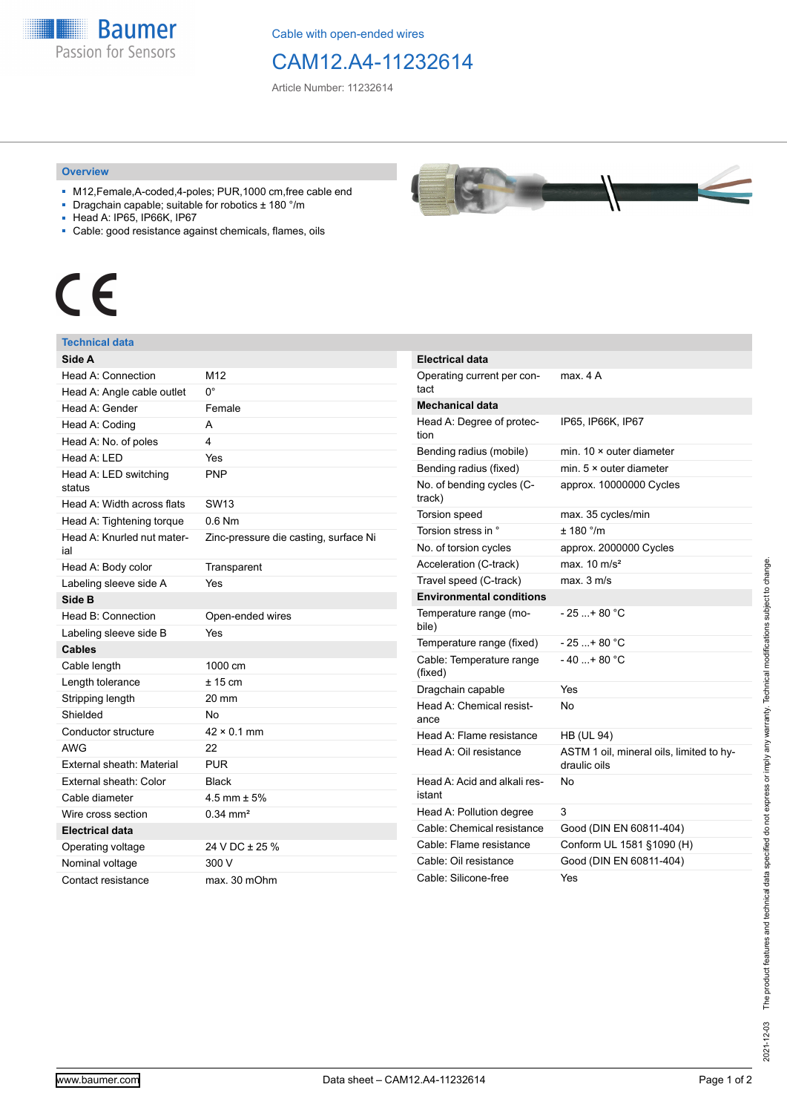**Baumer** Passion for Sensors

Cable with open-ended wires

## CAM12.A4-11232614

Article Number: 11232614

### **Overview**

- M12,Female,A-coded,4-poles; PUR,1000 cm,free cable end
- Dragchain capable; suitable for robotics ± 180 °/m
- Head A: IP65, IP66K, IP67
- Cable: good resistance against chemicals, flames, oils

# $\epsilon$

### **Technical data**

| Side A                            |                                       |
|-----------------------------------|---------------------------------------|
| Head A: Connection                | M12                                   |
| Head A: Angle cable outlet        | 0°                                    |
| Head A: Gender                    | Female                                |
| Head A: Coding                    | A                                     |
| Head A: No. of poles              | 4                                     |
| Head A: LED                       | Yes                                   |
| Head A: LED switching<br>status   | <b>PNP</b>                            |
| Head A: Width across flats        | <b>SW13</b>                           |
| Head A: Tightening torque         | $0.6$ Nm                              |
| Head A: Knurled nut mater-<br>ial | Zinc-pressure die casting, surface Ni |
| Head A: Body color                | Transparent                           |
| Labeling sleeve side A            | Yes                                   |
| Side B                            |                                       |
| Head B: Connection                | Open-ended wires                      |
| Labeling sleeve side B            | Yes                                   |
| <b>Cables</b>                     |                                       |
| Cable length                      | 1000 cm                               |
| Length tolerance                  | $± 15$ cm                             |
| Stripping length                  | 20 mm                                 |
| Shielded                          | No                                    |
| Conductor structure               | $42 \times 0.1$ mm                    |
| <b>AWG</b>                        | 22                                    |
| External sheath: Material         | <b>PUR</b>                            |
| External sheath: Color            | <b>Black</b>                          |
| Cable diameter                    | $4.5$ mm $\pm 5%$                     |
| Wire cross section                | $0.34 \text{ mm}^2$                   |
| <b>Electrical data</b>            |                                       |
| Operating voltage                 | 24 V DC ± 25 %                        |
| Nominal voltage                   | 300 V                                 |
| Contact resistance                | max. 30 mOhm                          |



| Electrical data                        |                                                          |
|----------------------------------------|----------------------------------------------------------|
| Operating current per con-<br>tact     | max. 4 A                                                 |
| <b>Mechanical data</b>                 |                                                          |
| Head A: Degree of protec-<br>tion      | IP65, IP66K, IP67                                        |
| Bending radius (mobile)                | min. $10 \times$ outer diameter                          |
| Bending radius (fixed)                 | min. $5 \times$ outer diameter                           |
| No. of bending cycles (C-<br>track)    | approx. 10000000 Cycles                                  |
| <b>Torsion speed</b>                   | max. 35 cycles/min                                       |
| Torsion stress in °                    | ± 180 °/m                                                |
| No. of torsion cycles                  | approx. 2000000 Cycles                                   |
| Acceleration (C-track)                 | max. $10 \text{ m/s}^2$                                  |
| Travel speed (C-track)                 | max. 3 m/s                                               |
| <b>Environmental conditions</b>        |                                                          |
| Temperature range (mo-<br>bile)        | $-25$ + 80 °C                                            |
| Temperature range (fixed)              | $-25+80 °C$                                              |
| Cable: Temperature range<br>(fixed)    | $-40+80 °C$                                              |
| Dragchain capable                      | Yes                                                      |
| Head A: Chemical resist-<br>ance       | N٥                                                       |
| Head A: Flame resistance               | <b>HB (UL 94)</b>                                        |
| Head A: Oil resistance                 | ASTM 1 oil, mineral oils, limited to hy-<br>draulic oils |
| Head A: Acid and alkali res-<br>istant | No                                                       |
| Head A: Pollution degree               | 3                                                        |
| Cable: Chemical resistance             | Good (DIN EN 60811-404)                                  |
| Cable: Flame resistance                | Conform UL 1581 §1090 (H)                                |
| Cable: Oil resistance                  | Good (DIN EN 60811-404)                                  |
| Cable: Silicone-free                   | Yes                                                      |